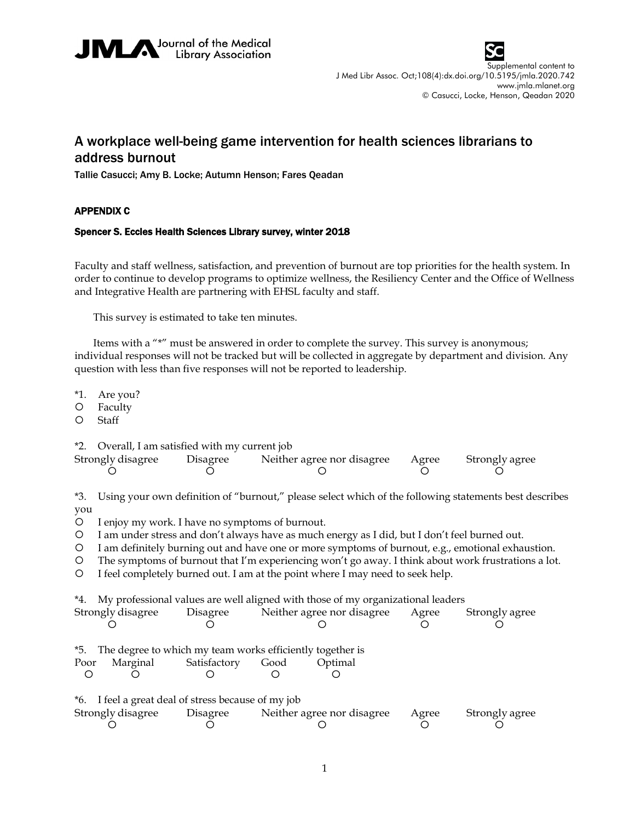



Supplemental content to J Med Libr Assoc. Oct;108(4):dx.doi.org/10.5195/jmla.2020.742 www.jmla.mlanet.org © Casucci, Locke, Henson, Qeadan 2020

## A workplace well-being game intervention for health sciences librarians to address burnout

Tallie Casucci; Amy B. Locke; Autumn Henson; Fares Qeadan

## APPENDIX C

## Spencer S. Eccles Health Sciences Library survey, winter 2018

Faculty and staff wellness, satisfaction, and prevention of burnout are top priorities for the health system. In order to continue to develop programs to optimize wellness, the Resiliency Center and the Office of Wellness and Integrative Health are partnering with EHSL faculty and staff.

This survey is estimated to take ten minutes.

Items with a "\*" must be answered in order to complete the survey. This survey is anonymous; individual responses will not be tracked but will be collected in aggregate by department and division. Any question with less than five responses will not be reported to leadership.

\*1. Are you?

- Faculty
- Staff

\*2. Overall, I am satisfied with my current job

| Strongly disagree | Disagree | Neither agree nor disagree | Agree | Strongly agree |
|-------------------|----------|----------------------------|-------|----------------|
|                   |          |                            |       |                |

\*3. Using your own definition of "burnout," please select which of the following statements best describes you

I enjoy my work. I have no symptoms of burnout.

I am under stress and don't always have as much energy as I did, but I don't feel burned out.

I am definitely burning out and have one or more symptoms of burnout, e.g., emotional exhaustion.

The symptoms of burnout that I'm experiencing won't go away. I think about work frustrations a lot.

I feel completely burned out. I am at the point where I may need to seek help.

| *4. My professional values are well aligned with those of my organizational leaders |              |      |                            |       |                |  |  |  |
|-------------------------------------------------------------------------------------|--------------|------|----------------------------|-------|----------------|--|--|--|
| Strongly disagree<br>Disagree                                                       |              |      | Neither agree nor disagree |       | Strongly agree |  |  |  |
|                                                                                     |              |      |                            |       |                |  |  |  |
| The degree to which my team works efficiently together is<br>*5.                    |              |      |                            |       |                |  |  |  |
| Marginal<br>Poor                                                                    | Satisfactory | Good | Optimal                    |       |                |  |  |  |
|                                                                                     |              |      |                            |       |                |  |  |  |
| *6. I feel a great deal of stress because of my job                                 |              |      |                            |       |                |  |  |  |
| Strongly disagree                                                                   | Disagree     |      | Neither agree nor disagree | Agree | Strongly agree |  |  |  |
|                                                                                     |              |      |                            |       |                |  |  |  |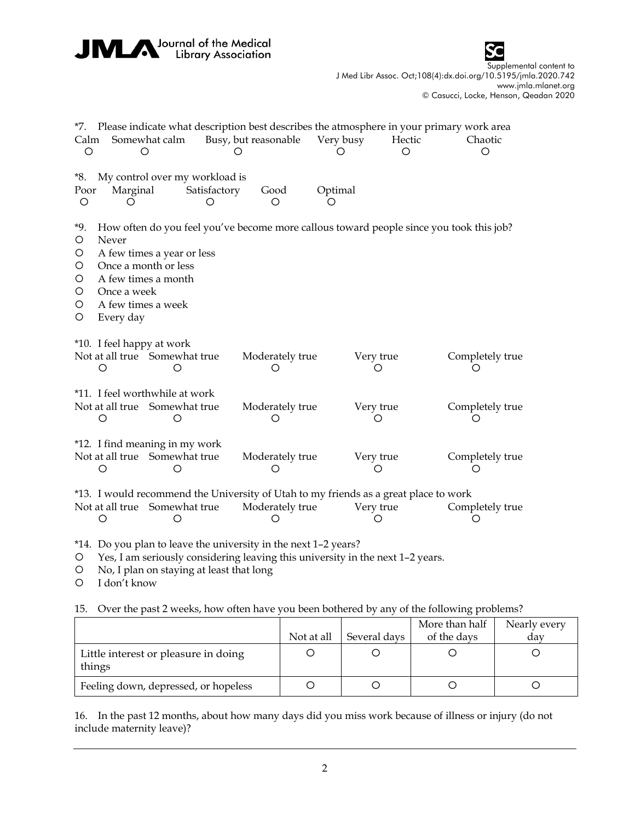| Journal of the Medical<br><b>Library Association</b> |                                                                      |                                                                           |                   |                                                                                                                  |                |                |   |                                                                                                                                                          |  |
|------------------------------------------------------|----------------------------------------------------------------------|---------------------------------------------------------------------------|-------------------|------------------------------------------------------------------------------------------------------------------|----------------|----------------|---|----------------------------------------------------------------------------------------------------------------------------------------------------------|--|
|                                                      |                                                                      |                                                                           |                   |                                                                                                                  |                |                |   | Supplemental content to<br>J Med Libr Assoc. Oct;108(4):dx.doi.org/10.5195/jmla.2020.742<br>www.jmla.mlanet.org<br>© Casucci, Locke, Henson, Qeadan 2020 |  |
| *7.<br>Calm<br>$\circ$                               |                                                                      | Somewhat calm<br>O                                                        |                   | Please indicate what description best describes the atmosphere in your primary work area<br>Busy, but reasonable | Very busy<br>O | Hectic<br>◯    |   | Chaotic<br>O                                                                                                                                             |  |
| *8.<br>Poor<br>$\circ$                               | Marginal<br>O                                                        | My control over my workload is                                            | Satisfactory<br>O | Good<br>Ο                                                                                                        | Optimal<br>∩   |                |   |                                                                                                                                                          |  |
| *9.<br>$\circ$<br>O<br>O<br>O<br>O<br>O<br>O         | Never<br>Once a week<br>A few times a week<br>Every day              | A few times a year or less<br>Once a month or less<br>A few times a month |                   | How often do you feel you've become more callous toward people since you took this job?                          |                |                |   |                                                                                                                                                          |  |
|                                                      | *10. I feel happy at work<br>Not at all true Somewhat true<br>O      | O                                                                         |                   | Moderately true<br>Ο                                                                                             |                | Very true<br>O |   | Completely true                                                                                                                                          |  |
|                                                      | *11. I feel worthwhile at work<br>Not at all true Somewhat true<br>O | O                                                                         |                   | Moderately true<br>O                                                                                             |                | Very true<br>O |   | Completely true                                                                                                                                          |  |
|                                                      | *12. I find meaning in my work<br>Not at all true Somewhat true<br>O | O                                                                         |                   | Moderately true<br>O                                                                                             |                | Very true<br>O | O | Completely true                                                                                                                                          |  |
|                                                      | Not at all true Somewhat true<br>O                                   | О                                                                         |                   | *13. I would recommend the University of Utah to my friends as a great place to work<br>Moderately true<br>O     |                | Very true<br>O | O | Completely true                                                                                                                                          |  |
|                                                      |                                                                      |                                                                           |                   | *14. Do you plan to leave the university in the next 1-2 years?                                                  |                |                |   |                                                                                                                                                          |  |

Yes, I am seriously considering leaving this university in the next 1–2 years.

No, I plan on staying at least that long

I don't know

15. Over the past 2 weeks, how often have you been bothered by any of the following problems?

|                                                |            |              | More than half | Nearly every |
|------------------------------------------------|------------|--------------|----------------|--------------|
|                                                | Not at all | Several days | of the days    | dav          |
| Little interest or pleasure in doing<br>things |            |              |                |              |
| Feeling down, depressed, or hopeless           |            |              |                |              |

16. In the past 12 months, about how many days did you miss work because of illness or injury (do not include maternity leave)?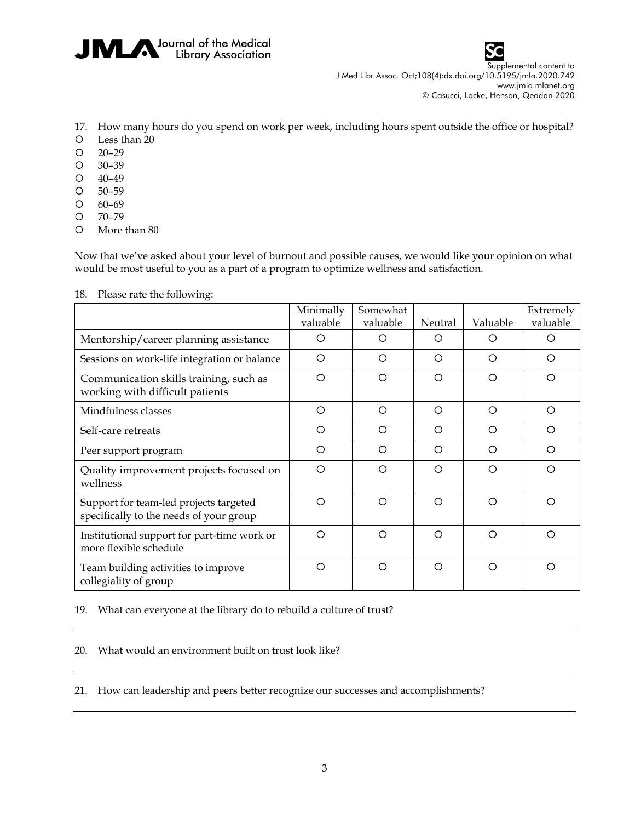



Supplemental content to J Med Libr Assoc. Oct;108(4):dx.doi.org/10.5195/jmla.2020.742 www.jmla.mlanet.org © Casucci, Locke, Henson, Qeadan 2020

- 17. How many hours do you spend on work per week, including hours spent outside the office or hospital?
- Less than 20
- 20–29
- 30–39
- 40–49
- 50–59
- 60–69
- 70–79
- More than 80

Now that we've asked about your level of burnout and possible causes, we would like your opinion on what would be most useful to you as a part of a program to optimize wellness and satisfaction.

|                                                                                   | Minimally<br>valuable | Somewhat<br>valuable | Neutral | Valuable | Extremely<br>valuable |
|-----------------------------------------------------------------------------------|-----------------------|----------------------|---------|----------|-----------------------|
| Mentorship/career planning assistance                                             | O                     | O                    | O       | O        | O                     |
| Sessions on work-life integration or balance                                      | O                     | ◯                    | ∩       | ◯        | ◯                     |
| Communication skills training, such as<br>working with difficult patients         | O                     | $\circ$              | $\circ$ | Ο        | O                     |
| Mindfulness classes                                                               | $\circ$               | $\circ$              | ◯       | ◯        | $\circ$               |
| Self-care retreats                                                                | O                     | ◯                    | ◯       | ∩        | ◯                     |
| Peer support program                                                              | O                     | ◯                    | $\circ$ | ◯        | ◯                     |
| Quality improvement projects focused on<br>wellness                               | O                     | ◯                    | ◯       | ◯        | ◯                     |
| Support for team-led projects targeted<br>specifically to the needs of your group | O                     | ◯                    | ◯       | ◯        | ◯                     |
| Institutional support for part-time work or<br>more flexible schedule             | O                     | ◯                    | ◯       | ◯        | ◯                     |
| Team building activities to improve<br>collegiality of group                      | O                     | ◯                    | $\circ$ | ◯        | ◯                     |

18. Please rate the following:

19. What can everyone at the library do to rebuild a culture of trust?

20. What would an environment built on trust look like?

21. How can leadership and peers better recognize our successes and accomplishments?